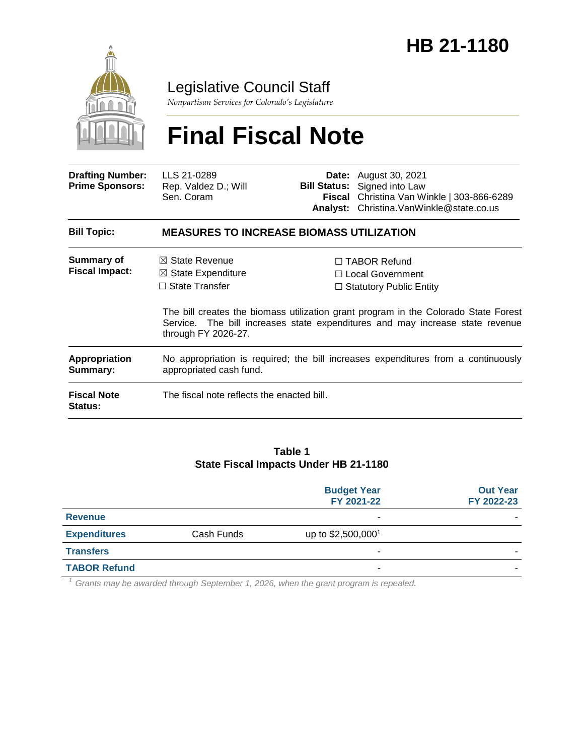

**Status:**

### Legislative Council Staff

*Nonpartisan Services for Colorado's Legislature*

# **Final Fiscal Note**

| <b>Drafting Number:</b><br><b>Prime Sponsors:</b> | LLS 21-0289<br>Rep. Valdez D.; Will<br>Sen. Coram                                                                                                                                           |  | <b>Date:</b> August 30, 2021<br><b>Bill Status:</b> Signed into Law<br>Fiscal Christina Van Winkle   303-866-6289<br>Analyst: Christina. Van Winkle@state.co.us |  |
|---------------------------------------------------|---------------------------------------------------------------------------------------------------------------------------------------------------------------------------------------------|--|-----------------------------------------------------------------------------------------------------------------------------------------------------------------|--|
| <b>Bill Topic:</b>                                | <b>MEASURES TO INCREASE BIOMASS UTILIZATION</b>                                                                                                                                             |  |                                                                                                                                                                 |  |
| <b>Summary of</b><br><b>Fiscal Impact:</b>        | $\boxtimes$ State Revenue                                                                                                                                                                   |  | $\Box$ TABOR Refund                                                                                                                                             |  |
|                                                   | $\boxtimes$ State Expenditure                                                                                                                                                               |  | $\Box$ Local Government                                                                                                                                         |  |
|                                                   | $\Box$ State Transfer                                                                                                                                                                       |  | $\Box$ Statutory Public Entity                                                                                                                                  |  |
|                                                   | The bill creates the biomass utilization grant program in the Colorado State Forest<br>Service. The bill increases state expenditures and may increase state revenue<br>through FY 2026-27. |  |                                                                                                                                                                 |  |
| Appropriation<br>Summary:                         | No appropriation is required; the bill increases expenditures from a continuously<br>appropriated cash fund.                                                                                |  |                                                                                                                                                                 |  |
| <b>Fiscal Note</b>                                | The fiscal note reflects the enacted bill.                                                                                                                                                  |  |                                                                                                                                                                 |  |

#### **Table 1 State Fiscal Impacts Under HB 21-1180**

|                     |            | <b>Budget Year</b><br>FY 2021-22 | <b>Out Year</b><br>FY 2022-23 |
|---------------------|------------|----------------------------------|-------------------------------|
| <b>Revenue</b>      |            | $\blacksquare$                   |                               |
| <b>Expenditures</b> | Cash Funds | up to \$2,500,000 <sup>1</sup>   |                               |
| <b>Transfers</b>    |            | $\blacksquare$                   |                               |
| <b>TABOR Refund</b> |            | ۰                                |                               |

*<sup>1</sup> Grants may be awarded through September 1, 2026, when the grant program is repealed.*